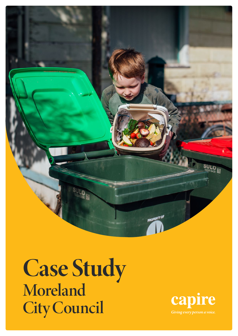

Case Study Moreland City Council

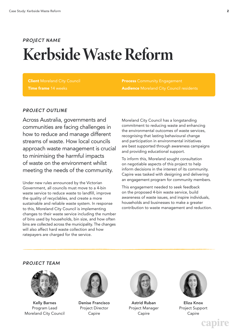### Kerbside Waste Reform *PROJECT NAME*

**Client Moreland City Council** Time frame 14 weeks

**Process Community Engagement Audience** Moreland City Council residents

#### *PROJECT OUTLINE*

Across Australia, governments and communities are facing challenges in how to reduce and manage different streams of waste. How local councils approach waste management is crucial to minimising the harmful impacts of waste on the environment whilst meeting the needs of the community.

Under new rules announced by the Victorian Government, all councils must move to a 4-bin waste service to reduce waste to landfill, improve the quality of recyclables, and create a more sustainable and reliable waste system. In response to this, Moreland City Council is implementing changes to their waste service including the number of bins used by households, bin size, and how often bins are collected across the municipality. The changes will also affect hard waste collection and how ratepayers are charged for the service.

Moreland City Council has a longstanding commitment to reducing waste and enhancing the environmental outcomes of waste services, recognising that lasting behavioural change and participation in environmental initiatives are best supported through awareness campaigns and providing educational support.

To inform this, Moreland sought consultation on negotiable aspects of this project to help inform decisions in the interest of its community. Capire was tasked with designing and delivering an engagement program for community members.

This engagement needed to seek feedback on the proposed 4-bin waste service, build awareness of waste issues, and inspire individuals, households and businesses to make a greater contribution to waste management and reduction.

#### *PROJECT TEAM*



Kelly Barnes Program Lead Moreland City Council



Denise Francisco Project Director Capire



Astrid Ruban Project Manager Capire



Eliza Knox Project Support Capire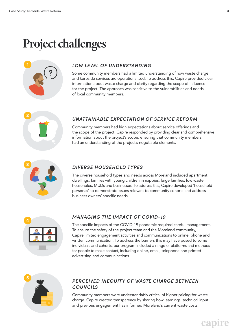# Project challenges



#### *LOW LEVEL OF UNDERSTANDING*

Some community members had a limited understanding of how waste charge and kerbside services are operationalised. To address this, Capire provided clear information about waste charge and clarity regarding the scope of influence for the project. The approach was sensitive to the vulnerabilities and needs of local community members.



#### *UNATTAINABLE EXPECTATION OF SERVICE REFORM*

Community members had high expectations about service offerings and the scope of the project. Capire responded by providing clear and comprehensive information about the project's scope, ensuring that community members had an understanding of the project's negotiable elements.



#### *DIVERSE HOUSEHOLD TYPES*

The diverse household types and needs across Moreland included apartment dwellings, families with young children in nappies, large families, low waste households, MUDs and businesses. To address this, Capire developed 'household personas' to demonstrate issues relevant to community cohorts and address business owners' specific needs.



#### *MANAGING THE IMPACT OF COVID-19*

The specific impacts of the COVID-19 pandemic required careful management. To ensure the safety of the project team and the Moreland community, Capire limited engagement activities and communications to online, phone and written communication. To address the barriers this may have posed to some individuals and cohorts, our program included a range of platforms and methods for people to make contact, including online, email, telephone and printed advertising and communications.



#### *PERCEIVED INEQUITY OF WASTE CHARGE BETWEEN COUNCILS*

Community members were understandably critical of higher pricing for waste charge. Capire created transparency by sharing how learnings, technical input and previous engagement has informed Moreland's current waste costs.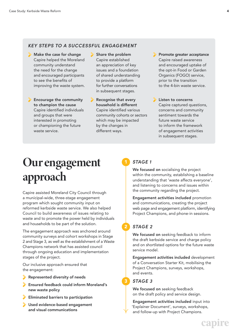#### *KEY STEPS TO A SUCCESSFUL ENGAGEMENT*

- Make the case for change Capire helped the Moreland community understand the need for the change and encouraged participants to see the benefits of improving the waste system.
- **Encourage the community** to champion the cause Capire identified individuals and groups that were interested in promoting or championing the future waste service.

Share the problem Capire established an appreciation of key issues and a foundation of shared understanding to provide a platform for further conversations in subsequent stages.

Recognise that every household is different Capire identified various community cohorts or sectors which may be impacted by the changes in different ways.

Promote greater acceptance Capire raised awareness and encouraged uptake of the opt-in Food or Garden Organics (FOGO) service, prior to the transition to the 4-bin waste service.

**Listen to concerns** Capire captured questions, concerns and community sentiment towards the future waste service to inform the framework of engagement activities in subsequent stages.

# Our engagement approach

Capire assisted Moreland City Council through a municipal-wide, three-stage engagement program which sought community input on reformed kerbside waste service. We also helped Council to build awareness of issues relating to waste and to promote the power held by individuals and households to be part of the solution.

The engagement approach was anchored around community surveys and cohort workshops in Stage 2 and Stage 3, as well as the establishment of a Waste Champions network that has assisted council through ongoing education and implementation stages of the project.

Our inclusive approach ensured that the engagement:

- Represented diversity of needs
- Ensured feedback could inform Moreland's new waste policy
- Eliminated barriers to participation
- Used evidence-based engagement and visual communications

#### *STAGE 1*

We focused on socialising the project within the community, establishing a baseline understanding that 'waste affects everyone', and listening to concerns and issues within the community regarding the project.

Engagement activities included promotion and communications, creating the project web page and engagement platform, identifying Project Champions, and phone-in sessions.

### *STAGE 2*

2

3

We focused on seeking feedback to inform the draft kerbside service and charge policy and on shortlisted options for the future waste service model.

Engagement activities included development of a Conversation Starter Kit, mobilising the Project Champions, surveys, workshops, and events.

#### *STAGE 3*

We focused on seeking feedback on the draft policy and service design.

Engagement activities included input into 'Explainer Document', surveys, workshops, and follow-up with Project Champions.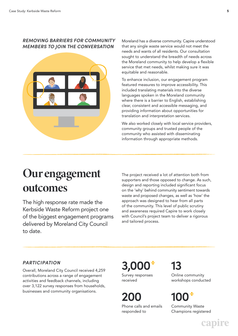#### *REMOVING BARRIERS FOR COMMUNITY MEMBERS TO JOIN THE CONVERSATION*



Moreland has a diverse community. Capire understood that any single waste service would not meet the needs and wants of all residents. Our consultation sought to understand the breadth of needs across the Moreland community to help develop a flexible service that met needs, whilst making sure it was equitable and reasonable.

To enhance inclusion, our engagement program featured measures to improve accessibility. This included translating materials into the diverse languages spoken in the Moreland community where there is a barrier to English, establishing clear, consistent and accessible messaging, and providing information about opportunities for translation and interpretation services.

We also worked closely with local service providers, community groups and trusted people of the community who assisted with disseminating information through appropriate methods.

### Our engagement outcomes

The high response rate made the Kerbside Waste Reform project one of the biggest engagement programs delivered by Moreland City Council to date.

The project received a lot of attention both from supporters and those opposed to change. As such, design and reporting included significant focus on the 'why' behind community sentiment towards waste and proposed changes, as well as 'how' the approach was designed to hear from all parts of the community. This level of public scrutiny and awareness required Capire to work closely with Council's project team to deliver a rigorous and tailored process.

#### *PARTICIPATION*

Overall, Moreland City Council received 4,259 contributions across a range of engagement activities and feedback channels, including over 3,122 survey responses from households, businesses and community organisations.

**3,000** Survey responses received

**200** Phone calls and emails responded to

**13**

Online community workshops conducted

## **100**

Community Waste Champions registered

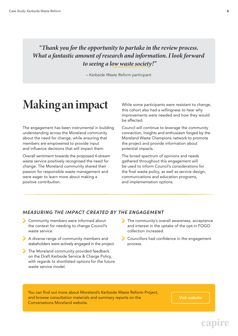### *"Thank you for the opportunity to partake in the review process. What a fantastic amount of research and information. I look forward to seeing a low waste society!"*

*– Kerbside Waste Reform participant*

## Making an impact

The engagement has been instrumental in building understanding across the Moreland community about the need for change, while ensuring that members are empowered to provide input and influence decisions that will impact them.

Overall sentiment towards the proposed 4-stream waste service positively recognised the need for change. The Moreland community shared their passion for responsible waste management and were eager to learn more about making a positive contribution.

While some participants were resistant to change, this cohort also had a willingness to hear why improvements were needed and how they would be affected.

Council will continue to leverage the community connection, insights and enthusiasm forged by the Moreland Waste Champions network to promote the project and provide information about potential impacts.

The broad spectrum of opinions and needs gathered throughout this engagement will be used to inform Council's considerations for the final waste policy, as well as service design, communications and education programs, and implementation options.

#### *MEASURING THE IMPACT CREATED BY THE ENGAGEMENT*

- Community members were informed about the context for needing to change Council's waste service.
- A diverse range of community members and stakeholders were actively engaged in the project.
- The Moreland community provided feedback on the Draft Kerbside Service & Charge Policy, with regards to shortlisted options for the future waste service model.
- The community's overall awareness, acceptance and interest in the uptake of the opt-in FOGO collection increased.
- Councillors had confidence in the engagement process.

You can find out more about Moreland's Kerbside Waste Reform Project, and browse consultation materials and summary reports on the Conversations Moreland website.

Visit website